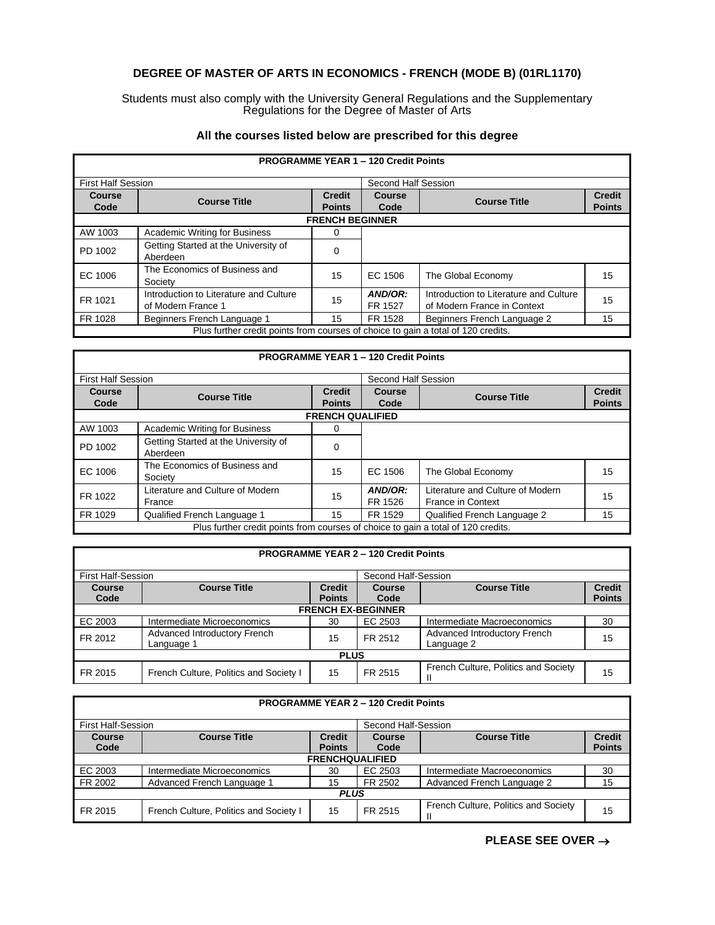# **DEGREE OF MASTER OF ARTS IN ECONOMICS - FRENCH (MODE B) (01RL1170)**

### Students must also comply with the University General Regulations and the Supplementary Regulations for the Degree of Master of Arts

## **All the courses listed below are prescribed for this degree**

| <b>PROGRAMME YEAR 1 - 120 Credit Points</b>                                       |                                                              |                                |                       |                                                                       |                                |  |  |
|-----------------------------------------------------------------------------------|--------------------------------------------------------------|--------------------------------|-----------------------|-----------------------------------------------------------------------|--------------------------------|--|--|
| <b>First Half Session</b>                                                         |                                                              |                                | Second Half Session   |                                                                       |                                |  |  |
| <b>Course</b><br>Code                                                             | <b>Course Title</b>                                          | <b>Credit</b><br><b>Points</b> | <b>Course</b><br>Code | <b>Course Title</b>                                                   | <b>Credit</b><br><b>Points</b> |  |  |
|                                                                                   | <b>FRENCH BEGINNER</b>                                       |                                |                       |                                                                       |                                |  |  |
| AW 1003                                                                           | <b>Academic Writing for Business</b>                         | 0                              |                       |                                                                       |                                |  |  |
| PD 1002                                                                           | Getting Started at the University of<br>Aberdeen             | 0                              |                       |                                                                       |                                |  |  |
| EC 1006                                                                           | The Economics of Business and<br>Society                     | 15                             | EC 1506               | The Global Economy                                                    | 15                             |  |  |
| FR 1021                                                                           | Introduction to Literature and Culture<br>of Modern France 1 | 15                             | AND/OR:<br>FR 1527    | Introduction to Literature and Culture<br>of Modern France in Context | 15                             |  |  |
| FR 1028                                                                           | Beginners French Language 1                                  | 15                             | FR 1528               | Beginners French Language 2                                           | 15                             |  |  |
| Plus further credit points from courses of choice to gain a total of 120 credits. |                                                              |                                |                       |                                                                       |                                |  |  |

#### **PROGRAMME YEAR 1 – 120 Credit Points** First Half Session Second Half Session **Course Code Course Title Credit Points Course Code Course Title Credit Points FRENCH QUALIFIED** AW 1003 | Academic Writing for Business | 0 PD 1002 Getting Started at the University of **Channel Container A** Co EC 1006 The Economics of Business and<br>Society 15 EC 1506 The Global Economy 15 FR 1022 Literature and Culture of Modern 15 **AND/OR:**<br>France France 15 **FR 1526** FR 1526 Literature and Culture of Modern France in Context 15 FR 1029 Qualified French Language 1 15 FR 1529 Qualified French Language 2 15

| <b>PROGRAMME YEAR 2 - 120 Credit Points</b> |                                                  |               |               |                                      |               |  |
|---------------------------------------------|--------------------------------------------------|---------------|---------------|--------------------------------------|---------------|--|
|                                             | <b>First Half-Session</b><br>Second Half-Session |               |               |                                      |               |  |
| <b>Course</b>                               | <b>Course Title</b>                              | <b>Credit</b> | <b>Course</b> | <b>Course Title</b>                  | <b>Credit</b> |  |
| Code                                        |                                                  | <b>Points</b> | Code          |                                      | <b>Points</b> |  |
|                                             | <b>FRENCH EX-BEGINNER</b>                        |               |               |                                      |               |  |
| EC 2003                                     | Intermediate Microeconomics                      | 30            | EC 2503       | Intermediate Macroeconomics          | 30            |  |
| FR 2012                                     | Advanced Introductory French                     | 15            | FR 2512       | Advanced Introductory French         | 15            |  |
|                                             | Language 1                                       |               |               | Language 2                           |               |  |
| <b>PLUS</b>                                 |                                                  |               |               |                                      |               |  |
| FR 2015                                     | French Culture, Politics and Society I           | 15            | FR 2515       | French Culture, Politics and Society | 15            |  |

Plus further credit points from courses of choice to gain a total of 120 credits.

| <b>PROGRAMME YEAR 2 - 120 Credit Points</b>      |                                        |                        |               |                                      |               |
|--------------------------------------------------|----------------------------------------|------------------------|---------------|--------------------------------------|---------------|
| <b>First Half-Session</b><br>Second Half-Session |                                        |                        |               |                                      |               |
| <b>Course</b>                                    | <b>Course Title</b>                    | <b>Credit</b>          | <b>Course</b> | <b>Course Title</b>                  | <b>Credit</b> |
| Code                                             |                                        | <b>Points</b>          | Code          |                                      | <b>Points</b> |
|                                                  |                                        | <b>FRENCHQUALIFIED</b> |               |                                      |               |
| EC 2003                                          | Intermediate Microeconomics            | 30                     | EC 2503       | Intermediate Macroeconomics          | 30            |
| FR 2002                                          | Advanced French Language 1             | 15                     | FR 2502       | Advanced French Language 2           | 15            |
| <b>PLUS</b>                                      |                                        |                        |               |                                      |               |
| FR 2015                                          | French Culture, Politics and Society I | 15                     | FR 2515       | French Culture, Politics and Society | 15            |

# **PLEASE SEE OVER** →